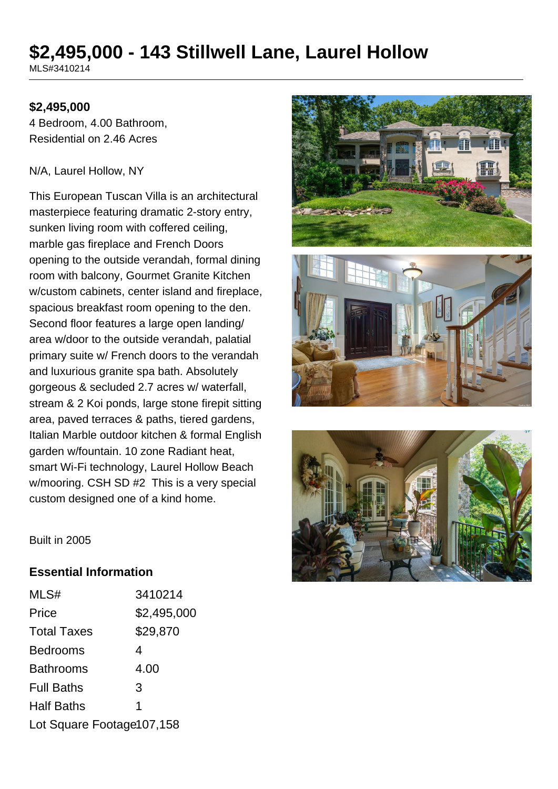# **\$2,495,000 - 143 Stillwell Lane, Laurel Hollow**

MLS#3410214

### **\$2,495,000**

4 Bedroom, 4.00 Bathroom, Residential on 2.46 Acres

#### N/A, Laurel Hollow, NY

This European Tuscan Villa is an architectural masterpiece featuring dramatic 2-story entry, sunken living room with coffered ceiling, marble gas fireplace and French Doors opening to the outside verandah, formal dining room with balcony, Gourmet Granite Kitchen w/custom cabinets, center island and fireplace, spacious breakfast room opening to the den. Second floor features a large open landing/ area w/door to the outside verandah, palatial primary suite w/ French doors to the verandah and luxurious granite spa bath. Absolutely gorgeous & secluded 2.7 acres w/ waterfall, stream & 2 Koi ponds, large stone firepit sitting area, paved terraces & paths, tiered gardens, Italian Marble outdoor kitchen & formal English garden w/fountain. 10 zone Radiant heat, smart Wi-Fi technology, Laurel Hollow Beach w/mooring. CSH SD #2 This is a very special custom designed one of a kind home.





Built in 2005

## **Essential Information**

| MLS#                      | 3410214     |  |
|---------------------------|-------------|--|
| Price                     | \$2,495,000 |  |
| <b>Total Taxes</b>        | \$29,870    |  |
| <b>Bedrooms</b>           | 4           |  |
| <b>Bathrooms</b>          | 4.00        |  |
| <b>Full Baths</b>         | 3           |  |
| <b>Half Baths</b>         | 1           |  |
| Lot Square Footage107,158 |             |  |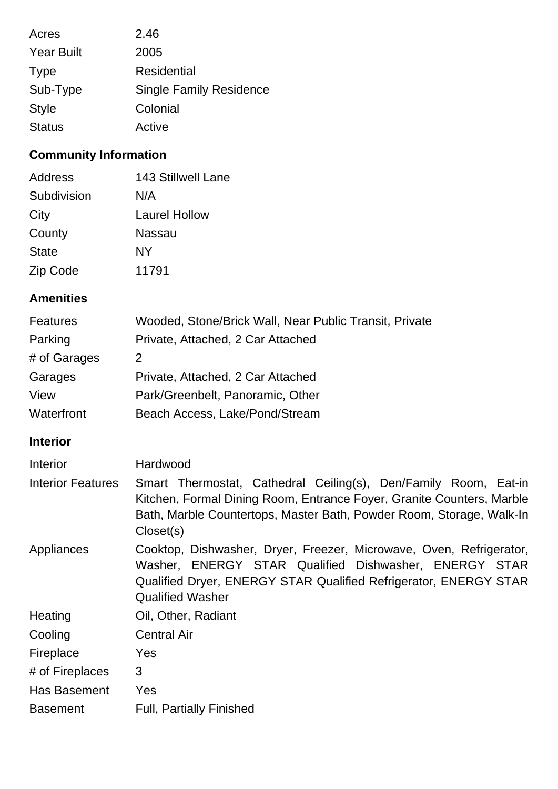| Acres             | 2.46                           |
|-------------------|--------------------------------|
| <b>Year Built</b> | 2005                           |
| <b>Type</b>       | Residential                    |
| Sub-Type          | <b>Single Family Residence</b> |
| <b>Style</b>      | Colonial                       |
| <b>Status</b>     | Active                         |

# **Community Information**

| Address      | <b>143 Stillwell Lane</b> |
|--------------|---------------------------|
| Subdivision  | N/A                       |
| City         | <b>Laurel Hollow</b>      |
| County       | <b>Nassau</b>             |
| <b>State</b> | NY                        |
| Zip Code     | 11791                     |

# **Amenities**

| <b>Features</b> | Wooded, Stone/Brick Wall, Near Public Transit, Private |
|-----------------|--------------------------------------------------------|
| Parking         | Private, Attached, 2 Car Attached                      |
| # of Garages    | 2                                                      |
| Garages         | Private, Attached, 2 Car Attached                      |
| View            | Park/Greenbelt, Panoramic, Other                       |
| Waterfront      | Beach Access, Lake/Pond/Stream                         |

# **Interior**

| Interior                 | Hardwood                                                                                                                                                                                                                      |
|--------------------------|-------------------------------------------------------------------------------------------------------------------------------------------------------------------------------------------------------------------------------|
| <b>Interior Features</b> | Smart Thermostat, Cathedral Ceiling(s), Den/Family Room, Eat-in<br>Kitchen, Formal Dining Room, Entrance Foyer, Granite Counters, Marble<br>Bath, Marble Countertops, Master Bath, Powder Room, Storage, Walk-In<br>Closed(s) |
| Appliances               | Cooktop, Dishwasher, Dryer, Freezer, Microwave, Oven, Refrigerator,<br>Washer, ENERGY STAR Qualified Dishwasher, ENERGY STAR<br>Qualified Dryer, ENERGY STAR Qualified Refrigerator, ENERGY STAR<br><b>Qualified Washer</b>   |
| Heating                  | Oil, Other, Radiant                                                                                                                                                                                                           |
| Cooling                  | <b>Central Air</b>                                                                                                                                                                                                            |
| Fireplace                | <b>Yes</b>                                                                                                                                                                                                                    |
| # of Fireplaces          | 3                                                                                                                                                                                                                             |
| Has Basement             | Yes                                                                                                                                                                                                                           |
| <b>Basement</b>          | <b>Full, Partially Finished</b>                                                                                                                                                                                               |